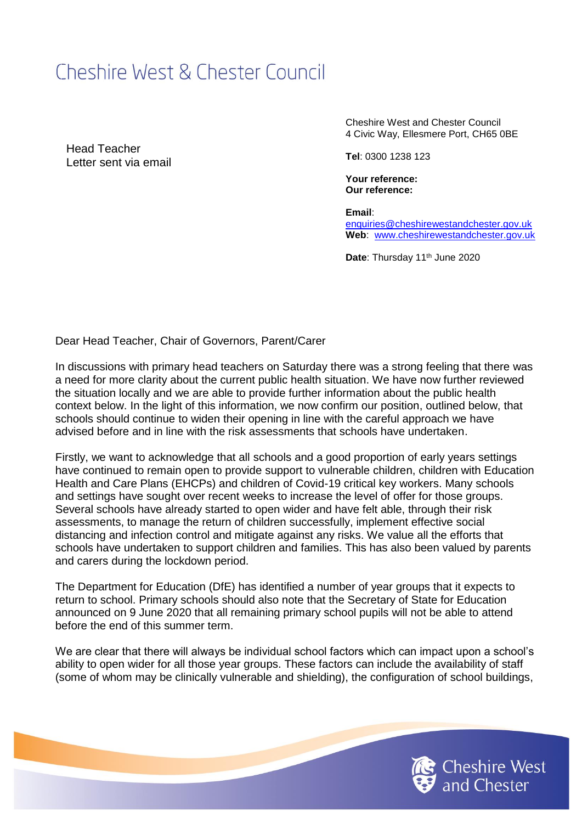# Cheshire West & Chester Council

Head Teacher Letter sent via email Cheshire West and Chester Council 4 Civic Way, Ellesmere Port, CH65 0BE

**Tel**: 0300 1238 123

**Your reference: Our reference:** 

**Email**: [enquiries@cheshirewestandchester.gov.uk](mailto:enquiries@cheshirewestandchester.gov.uk) **Web**: [www.cheshirewestandchester.gov.uk](http://www.cheshirewestandchester.gov.uk/)

Date: Thursday 11<sup>th</sup> June 2020

Dear Head Teacher, Chair of Governors, Parent/Carer

In discussions with primary head teachers on Saturday there was a strong feeling that there was a need for more clarity about the current public health situation. We have now further reviewed the situation locally and we are able to provide further information about the public health context below. In the light of this information, we now confirm our position, outlined below, that schools should continue to widen their opening in line with the careful approach we have advised before and in line with the risk assessments that schools have undertaken.

Firstly, we want to acknowledge that all schools and a good proportion of early years settings have continued to remain open to provide support to vulnerable children, children with Education Health and Care Plans (EHCPs) and children of Covid-19 critical key workers. Many schools and settings have sought over recent weeks to increase the level of offer for those groups. Several schools have already started to open wider and have felt able, through their risk assessments, to manage the return of children successfully, implement effective social distancing and infection control and mitigate against any risks. We value all the efforts that schools have undertaken to support children and families. This has also been valued by parents and carers during the lockdown period.

The Department for Education (DfE) has identified a number of year groups that it expects to return to school. Primary schools should also note that the Secretary of State for Education announced on 9 June 2020 that all remaining primary school pupils will not be able to attend before the end of this summer term.

We are clear that there will always be individual school factors which can impact upon a school's ability to open wider for all those year groups. These factors can include the availability of staff (some of whom may be clinically vulnerable and shielding), the configuration of school buildings,

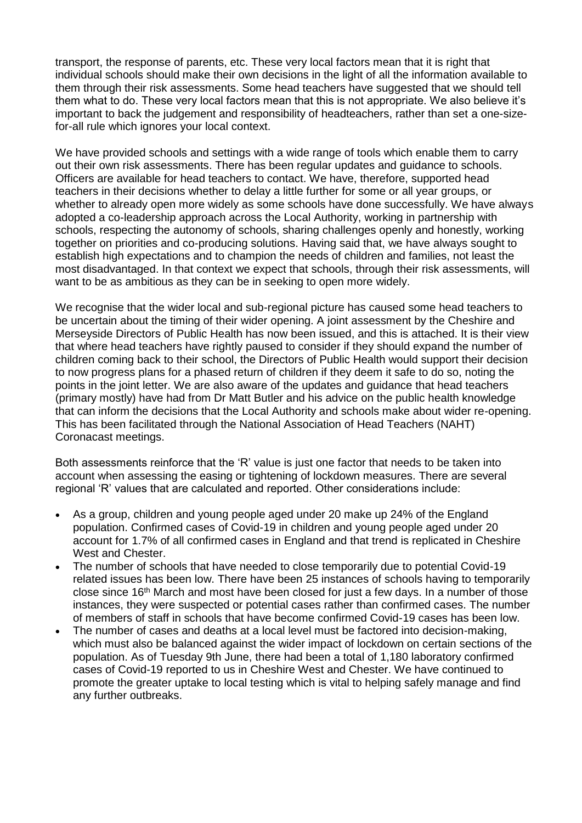transport, the response of parents, etc. These very local factors mean that it is right that individual schools should make their own decisions in the light of all the information available to them through their risk assessments. Some head teachers have suggested that we should tell them what to do. These very local factors mean that this is not appropriate. We also believe it's important to back the judgement and responsibility of headteachers, rather than set a one-sizefor-all rule which ignores your local context.

We have provided schools and settings with a wide range of tools which enable them to carry out their own risk assessments. There has been regular updates and guidance to schools. Officers are available for head teachers to contact. We have, therefore, supported head teachers in their decisions whether to delay a little further for some or all year groups, or whether to already open more widely as some schools have done successfully. We have always adopted a co-leadership approach across the Local Authority, working in partnership with schools, respecting the autonomy of schools, sharing challenges openly and honestly, working together on priorities and co-producing solutions. Having said that, we have always sought to establish high expectations and to champion the needs of children and families, not least the most disadvantaged. In that context we expect that schools, through their risk assessments, will want to be as ambitious as they can be in seeking to open more widely.

We recognise that the wider local and sub-regional picture has caused some head teachers to be uncertain about the timing of their wider opening. A joint assessment by the Cheshire and Merseyside Directors of Public Health has now been issued, and this is attached. It is their view that where head teachers have rightly paused to consider if they should expand the number of children coming back to their school, the Directors of Public Health would support their decision to now progress plans for a phased return of children if they deem it safe to do so, noting the points in the joint letter. We are also aware of the updates and guidance that head teachers (primary mostly) have had from Dr Matt Butler and his advice on the public health knowledge that can inform the decisions that the Local Authority and schools make about wider re-opening. This has been facilitated through the National Association of Head Teachers (NAHT) Coronacast meetings.

Both assessments reinforce that the 'R' value is just one factor that needs to be taken into account when assessing the easing or tightening of lockdown measures. There are several regional 'R' values that are calculated and reported. Other considerations include:

- As a group, children and young people aged under 20 make up 24% of the England population. Confirmed cases of Covid-19 in children and young people aged under 20 account for 1.7% of all confirmed cases in England and that trend is replicated in Cheshire West and Chester.
- The number of schools that have needed to close temporarily due to potential Covid-19 related issues has been low. There have been 25 instances of schools having to temporarily close since 16<sup>th</sup> March and most have been closed for just a few days. In a number of those instances, they were suspected or potential cases rather than confirmed cases. The number of members of staff in schools that have become confirmed Covid-19 cases has been low.
- The number of cases and deaths at a local level must be factored into decision-making, which must also be balanced against the wider impact of lockdown on certain sections of the population. As of Tuesday 9th June, there had been a total of 1,180 laboratory confirmed cases of Covid-19 reported to us in Cheshire West and Chester. We have continued to promote the greater uptake to local testing which is vital to helping safely manage and find any further outbreaks.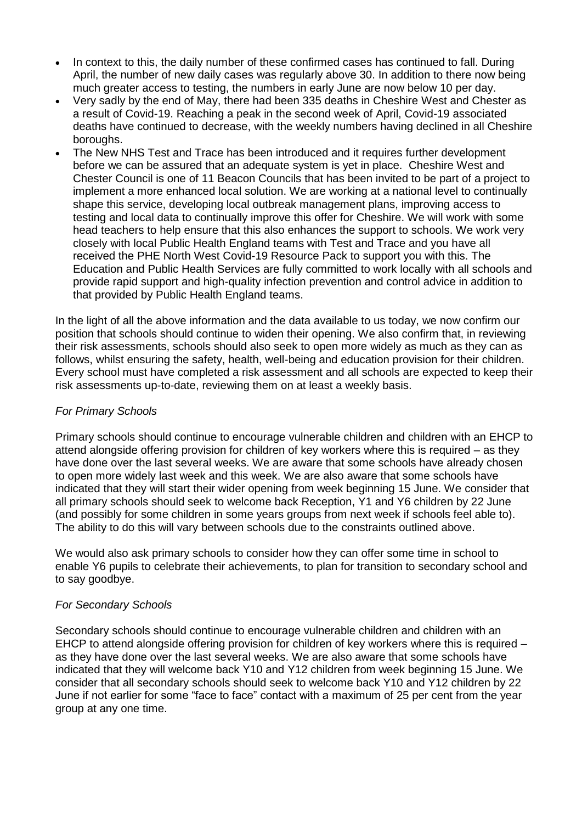- In context to this, the daily number of these confirmed cases has continued to fall. During April, the number of new daily cases was regularly above 30. In addition to there now being much greater access to testing, the numbers in early June are now below 10 per day.
- Very sadly by the end of May, there had been 335 deaths in Cheshire West and Chester as a result of Covid-19. Reaching a peak in the second week of April, Covid-19 associated deaths have continued to decrease, with the weekly numbers having declined in all Cheshire boroughs.
- The New NHS Test and Trace has been introduced and it requires further development before we can be assured that an adequate system is yet in place. Cheshire West and Chester Council is one of 11 Beacon Councils that has been invited to be part of a project to implement a more enhanced local solution. We are working at a national level to continually shape this service, developing local outbreak management plans, improving access to testing and local data to continually improve this offer for Cheshire. We will work with some head teachers to help ensure that this also enhances the support to schools. We work very closely with local Public Health England teams with Test and Trace and you have all received the PHE North West Covid-19 Resource Pack to support you with this. The Education and Public Health Services are fully committed to work locally with all schools and provide rapid support and high-quality infection prevention and control advice in addition to that provided by Public Health England teams.

In the light of all the above information and the data available to us today, we now confirm our position that schools should continue to widen their opening. We also confirm that, in reviewing their risk assessments, schools should also seek to open more widely as much as they can as follows, whilst ensuring the safety, health, well-being and education provision for their children. Every school must have completed a risk assessment and all schools are expected to keep their risk assessments up-to-date, reviewing them on at least a weekly basis.

### *For Primary Schools*

Primary schools should continue to encourage vulnerable children and children with an EHCP to attend alongside offering provision for children of key workers where this is required – as they have done over the last several weeks. We are aware that some schools have already chosen to open more widely last week and this week. We are also aware that some schools have indicated that they will start their wider opening from week beginning 15 June. We consider that all primary schools should seek to welcome back Reception, Y1 and Y6 children by 22 June (and possibly for some children in some years groups from next week if schools feel able to). The ability to do this will vary between schools due to the constraints outlined above.

We would also ask primary schools to consider how they can offer some time in school to enable Y6 pupils to celebrate their achievements, to plan for transition to secondary school and to say goodbye.

## *For Secondary Schools*

Secondary schools should continue to encourage vulnerable children and children with an EHCP to attend alongside offering provision for children of key workers where this is required – as they have done over the last several weeks. We are also aware that some schools have indicated that they will welcome back Y10 and Y12 children from week beginning 15 June. We consider that all secondary schools should seek to welcome back Y10 and Y12 children by 22 June if not earlier for some "face to face" contact with a maximum of 25 per cent from the year group at any one time.